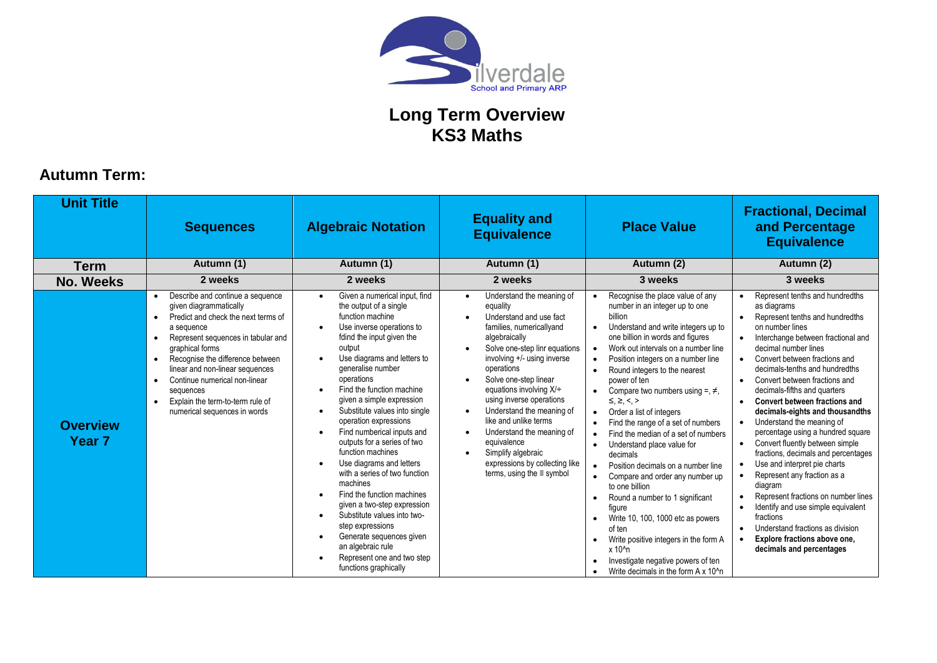

## **Autumn Term:**

| <b>Unit Title</b>                    | <b>Algebraic Notation</b><br><b>Sequences</b>                                                                                                                                                                                                                                                                                                                     |                                                                                                                                                                                                                                                                                                                                                                                                                                                                                                                                                                                                                                                                                                                                                    | <b>Equality and</b><br><b>Equivalence</b>                                                                                                                                                                                                                                                                                                                                                                                                                                                                                                       | <b>Place Value</b>                                                                                                                                                                                                                                                                                                                                                                                                                                                                                                                                                                                                                                                                                                                                                                                                                                                                      | <b>Fractional, Decimal</b><br>and Percentage<br><b>Equivalence</b>                                                                                                                                                                                                                                                                                                                                                                                                                                                                                                                                                                                                                                                                                                                                                                                                                    |
|--------------------------------------|-------------------------------------------------------------------------------------------------------------------------------------------------------------------------------------------------------------------------------------------------------------------------------------------------------------------------------------------------------------------|----------------------------------------------------------------------------------------------------------------------------------------------------------------------------------------------------------------------------------------------------------------------------------------------------------------------------------------------------------------------------------------------------------------------------------------------------------------------------------------------------------------------------------------------------------------------------------------------------------------------------------------------------------------------------------------------------------------------------------------------------|-------------------------------------------------------------------------------------------------------------------------------------------------------------------------------------------------------------------------------------------------------------------------------------------------------------------------------------------------------------------------------------------------------------------------------------------------------------------------------------------------------------------------------------------------|-----------------------------------------------------------------------------------------------------------------------------------------------------------------------------------------------------------------------------------------------------------------------------------------------------------------------------------------------------------------------------------------------------------------------------------------------------------------------------------------------------------------------------------------------------------------------------------------------------------------------------------------------------------------------------------------------------------------------------------------------------------------------------------------------------------------------------------------------------------------------------------------|---------------------------------------------------------------------------------------------------------------------------------------------------------------------------------------------------------------------------------------------------------------------------------------------------------------------------------------------------------------------------------------------------------------------------------------------------------------------------------------------------------------------------------------------------------------------------------------------------------------------------------------------------------------------------------------------------------------------------------------------------------------------------------------------------------------------------------------------------------------------------------------|
| <b>Term</b>                          | Autumn (1)                                                                                                                                                                                                                                                                                                                                                        | Autumn (1)                                                                                                                                                                                                                                                                                                                                                                                                                                                                                                                                                                                                                                                                                                                                         | Autumn (1)                                                                                                                                                                                                                                                                                                                                                                                                                                                                                                                                      | Autumn (2)                                                                                                                                                                                                                                                                                                                                                                                                                                                                                                                                                                                                                                                                                                                                                                                                                                                                              | Autumn (2)                                                                                                                                                                                                                                                                                                                                                                                                                                                                                                                                                                                                                                                                                                                                                                                                                                                                            |
| <b>No. Weeks</b>                     | 2 weeks                                                                                                                                                                                                                                                                                                                                                           | 2 weeks                                                                                                                                                                                                                                                                                                                                                                                                                                                                                                                                                                                                                                                                                                                                            | 2 weeks                                                                                                                                                                                                                                                                                                                                                                                                                                                                                                                                         | 3 weeks                                                                                                                                                                                                                                                                                                                                                                                                                                                                                                                                                                                                                                                                                                                                                                                                                                                                                 | 3 weeks                                                                                                                                                                                                                                                                                                                                                                                                                                                                                                                                                                                                                                                                                                                                                                                                                                                                               |
| <b>Overview</b><br>Year <sub>7</sub> | Describe and continue a sequence<br>given diagrammatically<br>Predict and check the next terms of<br>a sequence<br>Represent sequences in tabular and<br>graphical forms<br>Recognise the difference between<br>linear and non-linear sequences<br>Continue numerical non-linear<br>sequences<br>Explain the term-to-term rule of<br>numerical sequences in words | Given a numerical input, find<br>$\bullet$<br>the output of a single<br>function machine<br>Use inverse operations to<br>fdind the input given the<br>output<br>Use diagrams and letters to<br>generalise number<br>operations<br>Find the function machine<br>given a simple expression<br>Substitute values into single<br>$\bullet$<br>operation expressions<br>Find numberical inputs and<br>outputs for a series of two<br>function machines<br>Use diagrams and letters<br>with a series of two function<br>machines<br>Find the function machines<br>given a two-step expression<br>Substitute values into two-<br>step expressions<br>Generate sequences given<br>an algebraic rule<br>Represent one and two step<br>functions graphically | Understand the meaning of<br>$\bullet$<br>equality<br>Understand and use fact<br>families, numericallyand<br>algebraically<br>Solve one-step linr equations<br>$\bullet$<br>involving +/- using inverse<br>operations<br>Solve one-step linear<br>equations involving $X/\div$<br>using inverse operations<br>Understand the meaning of<br>$\bullet$<br>like and unlike terms<br>Understand the meaning of<br>$\bullet$<br>equivalence<br>Simplify algebraic<br>$\bullet$<br>expressions by collecting like<br>terms, using the $\equiv$ symbol | Recognise the place value of any<br>number in an integer up to one<br>billion<br>Understand and write integers up to<br>one billion in words and figures<br>Work out intervals on a number line<br>Position integers on a number line<br>Round integers to the nearest<br>power of ten<br>Compare two numbers using $=$ , $\neq$ ,<br>$\leq \geq \leq$<br>Order a list of integers<br>Find the range of a set of numbers<br>Find the median of a set of numbers<br>$\bullet$<br>Understand place value for<br>decimals<br>Position decimals on a number line<br>Compare and order any number up<br>to one billion<br>Round a number to 1 significant<br>figure<br>Write 10, 100, 1000 etc as powers<br>of ten<br>Write positive integers in the form A<br>$\bullet$<br>$x 101$ n<br>Investigate negative powers of ten<br>$\bullet$<br>Write decimals in the form A x 10 <sup>1</sup> n | Represent tenths and hundredths<br>$\bullet$<br>as diagrams<br>Represent tenths and hundredths<br>on number lines<br>Interchange between fractional and<br>decimal number lines<br>Convert between fractions and<br>decimals-tenths and hundredths<br>Convert between fractions and<br>decimals-fifths and quarters<br>Convert between fractions and<br>$\bullet$<br>decimals-eights and thousandths<br>Understand the meaning of<br>percentage using a hundred square<br>Convert fluently between simple<br>$\bullet$<br>fractions, decimals and percentages<br>Use and interpret pie charts<br>Represent any fraction as a<br>$\bullet$<br>diagram<br>Represent fractions on number lines<br>$\bullet$<br>Identify and use simple equivalent<br>$\bullet$<br>fractions<br>Understand fractions as division<br>Explore fractions above one,<br>$\bullet$<br>decimals and percentages |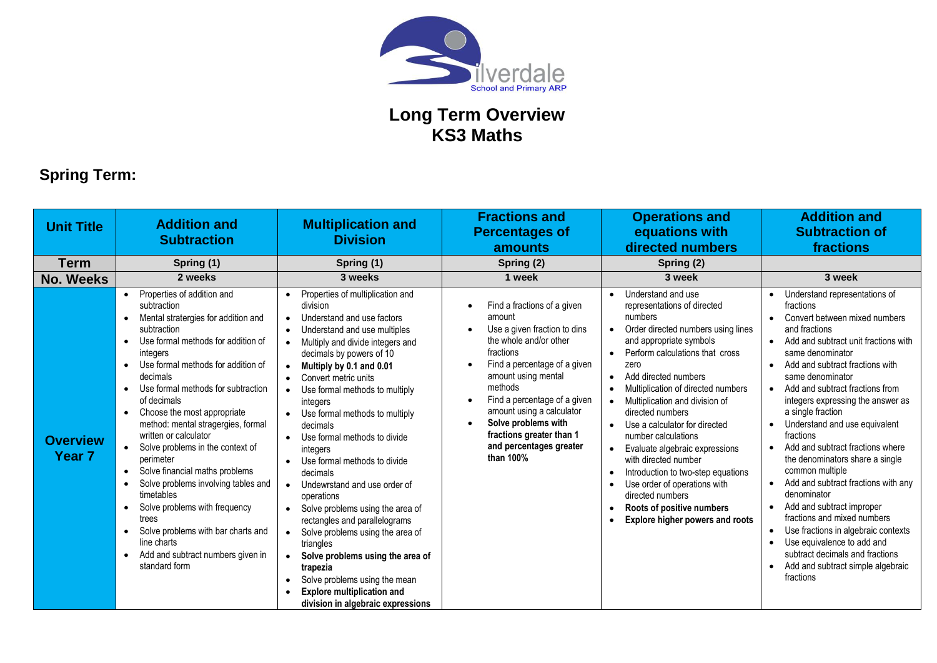

# **Spring Term:**

| <b>Unit Title</b>                    | <b>Addition and</b><br><b>Subtraction</b>                                                                                                                                                                                                                                                                                                                                                                                                                                                                                                                                                                                                                                                  | <b>Multiplication and</b><br><b>Division</b>                                                                                                                                                                                                                                                                                                                                                                                                                                                                                                                                                                                                                                                                                                                                                                                                 | <b>Fractions and</b><br><b>Percentages of</b><br>amounts                                                                                                                                                                                                                                                                               | <b>Operations and</b><br>equations with<br>directed numbers                                                                                                                                                                                                                                                                                                                                                                                                                                                                                                                                                                                      | <b>Addition and</b><br><b>Subtraction of</b><br>fractions                                                                                                                                                                                                                                                                                                                                                                                                                                                                                                                                                                                                                                                                                                                                                                                             |
|--------------------------------------|--------------------------------------------------------------------------------------------------------------------------------------------------------------------------------------------------------------------------------------------------------------------------------------------------------------------------------------------------------------------------------------------------------------------------------------------------------------------------------------------------------------------------------------------------------------------------------------------------------------------------------------------------------------------------------------------|----------------------------------------------------------------------------------------------------------------------------------------------------------------------------------------------------------------------------------------------------------------------------------------------------------------------------------------------------------------------------------------------------------------------------------------------------------------------------------------------------------------------------------------------------------------------------------------------------------------------------------------------------------------------------------------------------------------------------------------------------------------------------------------------------------------------------------------------|----------------------------------------------------------------------------------------------------------------------------------------------------------------------------------------------------------------------------------------------------------------------------------------------------------------------------------------|--------------------------------------------------------------------------------------------------------------------------------------------------------------------------------------------------------------------------------------------------------------------------------------------------------------------------------------------------------------------------------------------------------------------------------------------------------------------------------------------------------------------------------------------------------------------------------------------------------------------------------------------------|-------------------------------------------------------------------------------------------------------------------------------------------------------------------------------------------------------------------------------------------------------------------------------------------------------------------------------------------------------------------------------------------------------------------------------------------------------------------------------------------------------------------------------------------------------------------------------------------------------------------------------------------------------------------------------------------------------------------------------------------------------------------------------------------------------------------------------------------------------|
| <b>Term</b>                          | Spring (1)                                                                                                                                                                                                                                                                                                                                                                                                                                                                                                                                                                                                                                                                                 | Spring (1)                                                                                                                                                                                                                                                                                                                                                                                                                                                                                                                                                                                                                                                                                                                                                                                                                                   | Spring (2)                                                                                                                                                                                                                                                                                                                             | Spring (2)                                                                                                                                                                                                                                                                                                                                                                                                                                                                                                                                                                                                                                       |                                                                                                                                                                                                                                                                                                                                                                                                                                                                                                                                                                                                                                                                                                                                                                                                                                                       |
| <b>No. Weeks</b>                     | 2 weeks                                                                                                                                                                                                                                                                                                                                                                                                                                                                                                                                                                                                                                                                                    | 3 weeks                                                                                                                                                                                                                                                                                                                                                                                                                                                                                                                                                                                                                                                                                                                                                                                                                                      | 1 week                                                                                                                                                                                                                                                                                                                                 | 3 week                                                                                                                                                                                                                                                                                                                                                                                                                                                                                                                                                                                                                                           | 3 week                                                                                                                                                                                                                                                                                                                                                                                                                                                                                                                                                                                                                                                                                                                                                                                                                                                |
| <b>Overview</b><br>Year <sub>7</sub> | Properties of addition and<br>subtraction<br>Mental stratergies for addition and<br>subtraction<br>Use formal methods for addition of<br>integers<br>Use formal methods for addition of<br>$\bullet$<br>decimals<br>Use formal methods for subtraction<br>of decimals<br>Choose the most appropriate<br>$\bullet$<br>method: mental stragergies, formal<br>written or calculator<br>Solve problems in the context of<br>perimeter<br>Solve financial maths problems<br>Solve problems involving tables and<br>timetables<br>Solve problems with frequency<br>trees<br>Solve problems with bar charts and<br>line charts<br>Add and subtract numbers given in<br>$\bullet$<br>standard form | Properties of multiplication and<br>division<br>Understand and use factors<br>$\bullet$<br>Understand and use multiples<br>Multiply and divide integers and<br>decimals by powers of 10<br>Multiply by 0.1 and 0.01<br>$\bullet$<br>Convert metric units<br>$\bullet$<br>Use formal methods to multiply<br>$\bullet$<br>integers<br>Use formal methods to multiply<br>decimals<br>Use formal methods to divide<br>$\bullet$<br>integers<br>Use formal methods to divide<br>decimals<br>Undewrstand and use order of<br>$\bullet$<br>operations<br>Solve problems using the area of<br>rectangles and parallelograms<br>Solve problems using the area of<br>triangles<br>Solve problems using the area of<br>$\bullet$<br>trapezia<br>Solve problems using the mean<br><b>Explore multiplication and</b><br>division in algebraic expressions | Find a fractions of a given<br>amount<br>Use a given fraction to dins<br>the whole and/or other<br>fractions<br>Find a percentage of a given<br>amount using mental<br>methods<br>Find a percentage of a given<br>amount using a calculator<br>Solve problems with<br>fractions greater than 1<br>and percentages greater<br>than 100% | Understand and use<br>$\bullet$<br>representations of directed<br>numbers<br>Order directed numbers using lines<br>and appropriate symbols<br>Perform calculations that cross<br>zero<br>Add directed numbers<br>$\bullet$<br>Multiplication of directed numbers<br>$\bullet$<br>Multiplication and division of<br>directed numbers<br>Use a calculator for directed<br>number calculations<br>Evaluate algebraic expressions<br>with directed number<br>Introduction to two-step equations<br>$\bullet$<br>Use order of operations with<br>$\bullet$<br>directed numbers<br>Roots of positive numbers<br><b>Explore higher powers and roots</b> | Understand representations of<br>fractions<br>Convert between mixed numbers<br>and fractions<br>Add and subtract unit fractions with<br>$\bullet$<br>same denominator<br>Add and subtract fractions with<br>$\bullet$<br>same denominator<br>Add and subtract fractions from<br>$\bullet$<br>integers expressing the answer as<br>a single fraction<br>Understand and use equivalent<br>$\bullet$<br>fractions<br>Add and subtract fractions where<br>$\bullet$<br>the denominators share a single<br>common multiple<br>Add and subtract fractions with any<br>$\bullet$<br>denominator<br>Add and subtract improper<br>$\bullet$<br>fractions and mixed numbers<br>Use fractions in algebraic contexts<br>$\bullet$<br>Use equivalence to add and<br>subtract decimals and fractions<br>Add and subtract simple algebraic<br>$\bullet$<br>fractions |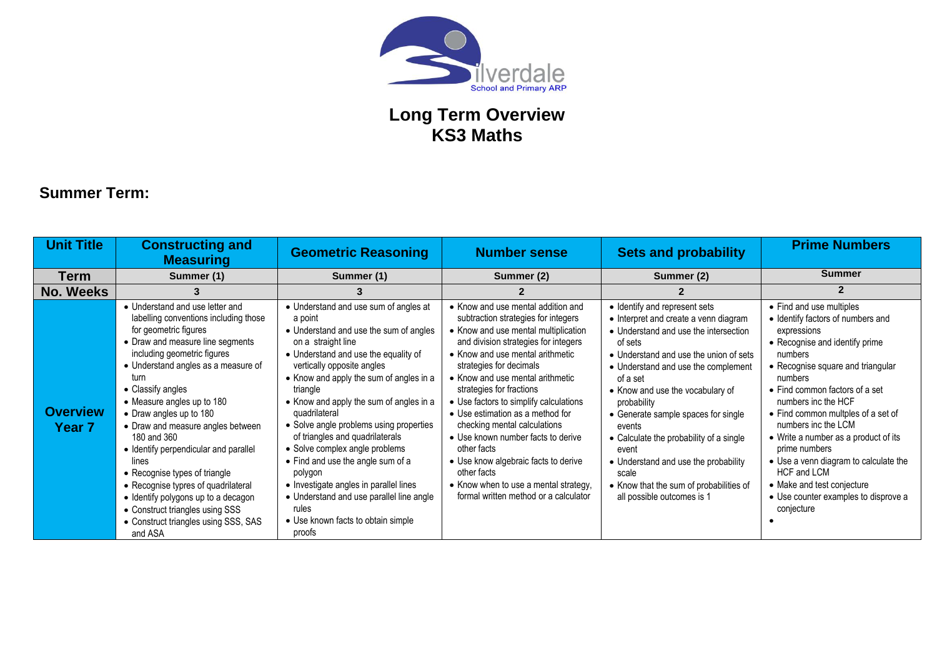

#### **Summer Term:**

| <b>Unit Title</b>                | <b>Constructing and</b><br><b>Measuring</b>                                                                                                                                                                                                                                                                                                                                                                                                                                                                                                                                                                  | <b>Geometric Reasoning</b>                                                                                                                                                                                                                                                                                                                                                                                                                                                                                                                                                                                               | <b>Number sense</b>                                                                                                                                                                                                                                                                                                                                                                                                                                                                                                                                                                                  | <b>Sets and probability</b>                                                                                                                                                                                                                                                                                                                                                                                                                                                                               | <b>Prime Numbers</b>                                                                                                                                                                                                                                                                                                                                                                                                                                                                                         |
|----------------------------------|--------------------------------------------------------------------------------------------------------------------------------------------------------------------------------------------------------------------------------------------------------------------------------------------------------------------------------------------------------------------------------------------------------------------------------------------------------------------------------------------------------------------------------------------------------------------------------------------------------------|--------------------------------------------------------------------------------------------------------------------------------------------------------------------------------------------------------------------------------------------------------------------------------------------------------------------------------------------------------------------------------------------------------------------------------------------------------------------------------------------------------------------------------------------------------------------------------------------------------------------------|------------------------------------------------------------------------------------------------------------------------------------------------------------------------------------------------------------------------------------------------------------------------------------------------------------------------------------------------------------------------------------------------------------------------------------------------------------------------------------------------------------------------------------------------------------------------------------------------------|-----------------------------------------------------------------------------------------------------------------------------------------------------------------------------------------------------------------------------------------------------------------------------------------------------------------------------------------------------------------------------------------------------------------------------------------------------------------------------------------------------------|--------------------------------------------------------------------------------------------------------------------------------------------------------------------------------------------------------------------------------------------------------------------------------------------------------------------------------------------------------------------------------------------------------------------------------------------------------------------------------------------------------------|
| <b>Term</b>                      | Summer (1)                                                                                                                                                                                                                                                                                                                                                                                                                                                                                                                                                                                                   | Summer (1)                                                                                                                                                                                                                                                                                                                                                                                                                                                                                                                                                                                                               | Summer (2)                                                                                                                                                                                                                                                                                                                                                                                                                                                                                                                                                                                           | Summer (2)                                                                                                                                                                                                                                                                                                                                                                                                                                                                                                | <b>Summer</b>                                                                                                                                                                                                                                                                                                                                                                                                                                                                                                |
| <b>No. Weeks</b>                 | з                                                                                                                                                                                                                                                                                                                                                                                                                                                                                                                                                                                                            | 3                                                                                                                                                                                                                                                                                                                                                                                                                                                                                                                                                                                                                        |                                                                                                                                                                                                                                                                                                                                                                                                                                                                                                                                                                                                      |                                                                                                                                                                                                                                                                                                                                                                                                                                                                                                           |                                                                                                                                                                                                                                                                                                                                                                                                                                                                                                              |
| <b>Overview</b><br><b>Year 7</b> | • Understand and use letter and<br>labelling conventions including those<br>for geometric figures<br>• Draw and measure line segments<br>including geometric figures<br>• Understand angles as a measure of<br>turn<br>• Classify angles<br>• Measure angles up to 180<br>• Draw angles up to 180<br>• Draw and measure angles between<br>180 and 360<br>• Identify perpendicular and parallel<br>lines<br>• Recognise types of triangle<br>• Recognise typres of quadrilateral<br>• Identify polygons up to a decagon<br>• Construct triangles using SSS<br>• Construct triangles using SSS, SAS<br>and ASA | • Understand and use sum of angles at<br>a point<br>• Understand and use the sum of angles<br>on a straight line<br>• Understand and use the equality of<br>vertically opposite angles<br>• Know and apply the sum of angles in a<br>triangle<br>• Know and apply the sum of angles in a<br>quadrilateral<br>• Solve angle problems using properties<br>of triangles and quadrilaterals<br>• Solve complex angle problems<br>• Find and use the angle sum of a<br>polygon<br>• Investigate angles in parallel lines<br>• Understand and use parallel line angle<br>rules<br>• Use known facts to obtain simple<br>proofs | • Know and use mental addition and<br>subtraction strategies for integers<br>• Know and use mental multiplication<br>and division strategies for integers<br>• Know and use mental arithmetic<br>strategies for decimals<br>• Know and use mental arithmetic<br>strategies for fractions<br>• Use factors to simplify calculations<br>• Use estimation as a method for<br>checking mental calculations<br>• Use known number facts to derive<br>other facts<br>• Use know algebraic facts to derive<br>other facts<br>• Know when to use a mental strategy,<br>formal written method or a calculator | • Identify and represent sets<br>• Interpret and create a venn diagram<br>• Understand and use the intersection<br>of sets<br>• Understand and use the union of sets<br>• Understand and use the complement<br>of a set<br>• Know and use the vocabulary of<br>probability<br>• Generate sample spaces for single<br>events<br>• Calculate the probability of a single<br>event<br>• Understand and use the probability<br>scale<br>• Know that the sum of probabilities of<br>all possible outcomes is 1 | • Find and use multiples<br>• Identify factors of numbers and<br>expressions<br>• Recognise and identify prime<br>numbers<br>• Recognise square and triangular<br>numbers<br>$\bullet$ Find common factors of a set<br>numbers inc the HCF<br>• Find common multples of a set of<br>numbers inc the LCM<br>• Write a number as a product of its<br>prime numbers<br>• Use a venn diagram to calculate the<br>HCF and LCM<br>• Make and test conjecture<br>• Use counter examples to disprove a<br>conjecture |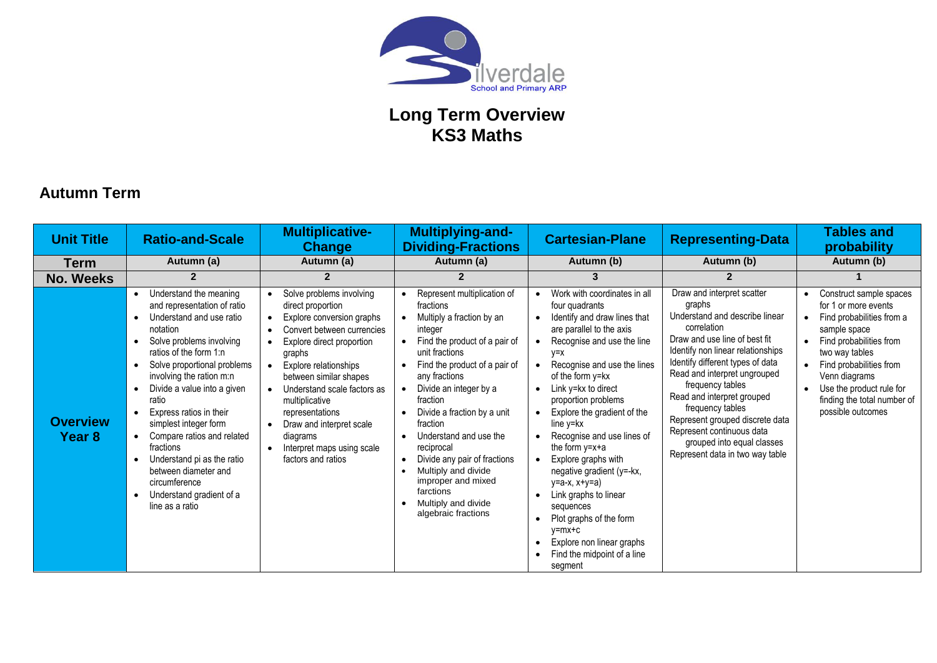

#### **Autumn Term**

| <b>Unit Title</b>         | <b>Ratio-and-Scale</b>                                                                                                                                                                                                                                                                                                                                                                                                                                                                     | <b>Multiplicative-</b><br><b>Change</b>                                                                                                                                                                                                                                                                                                                                                                   | <b>Multiplying-and-</b><br><b>Dividing-Fractions</b>                                                                                                                                                                                                                                                                                                                                                                                                                                                                    | <b>Cartesian-Plane</b>                                                                                                                                                                                                                                                                                                                                                                                                                                                                                                                                                                                                            | <b>Representing-Data</b>                                                                                                                                                                                                                                                                                                                                                                                                               | <b>Tables and</b><br>probability                                                                                                                                                                                                                                      |
|---------------------------|--------------------------------------------------------------------------------------------------------------------------------------------------------------------------------------------------------------------------------------------------------------------------------------------------------------------------------------------------------------------------------------------------------------------------------------------------------------------------------------------|-----------------------------------------------------------------------------------------------------------------------------------------------------------------------------------------------------------------------------------------------------------------------------------------------------------------------------------------------------------------------------------------------------------|-------------------------------------------------------------------------------------------------------------------------------------------------------------------------------------------------------------------------------------------------------------------------------------------------------------------------------------------------------------------------------------------------------------------------------------------------------------------------------------------------------------------------|-----------------------------------------------------------------------------------------------------------------------------------------------------------------------------------------------------------------------------------------------------------------------------------------------------------------------------------------------------------------------------------------------------------------------------------------------------------------------------------------------------------------------------------------------------------------------------------------------------------------------------------|----------------------------------------------------------------------------------------------------------------------------------------------------------------------------------------------------------------------------------------------------------------------------------------------------------------------------------------------------------------------------------------------------------------------------------------|-----------------------------------------------------------------------------------------------------------------------------------------------------------------------------------------------------------------------------------------------------------------------|
| <b>Term</b>               | Autumn (a)                                                                                                                                                                                                                                                                                                                                                                                                                                                                                 | Autumn (a)                                                                                                                                                                                                                                                                                                                                                                                                | Autumn (a)                                                                                                                                                                                                                                                                                                                                                                                                                                                                                                              | Autumn (b)                                                                                                                                                                                                                                                                                                                                                                                                                                                                                                                                                                                                                        | Autumn (b)                                                                                                                                                                                                                                                                                                                                                                                                                             | Autumn (b)                                                                                                                                                                                                                                                            |
| <b>No. Weeks</b>          | $\mathbf{2}$                                                                                                                                                                                                                                                                                                                                                                                                                                                                               | $\overline{2}$                                                                                                                                                                                                                                                                                                                                                                                            | 2                                                                                                                                                                                                                                                                                                                                                                                                                                                                                                                       | 3                                                                                                                                                                                                                                                                                                                                                                                                                                                                                                                                                                                                                                 |                                                                                                                                                                                                                                                                                                                                                                                                                                        |                                                                                                                                                                                                                                                                       |
| <b>Overview</b><br>Year 8 | Understand the meaning<br>$\bullet$<br>and representation of ratio<br>Understand and use ratio<br>notation<br>Solve problems involving<br>ratios of the form $1:n$<br>Solve proportional problems<br>involving the ration m:n<br>Divide a value into a given<br>ratio<br>Express ratios in their<br>simplest integer form<br>Compare ratios and related<br>fractions<br>Understand pi as the ratio<br>between diameter and<br>circumference<br>Understand gradient of a<br>line as a ratio | Solve problems involving<br>direct proportion<br>Explore conversion graphs<br>Convert between currencies<br>Explore direct proportion<br>graphs<br>Explore relationships<br>$\bullet$<br>between similar shapes<br>Understand scale factors as<br>$\bullet$<br>multiplicative<br>representations<br>Draw and interpret scale<br>$\bullet$<br>diagrams<br>Interpret maps using scale<br>factors and ratios | Represent multiplication of<br>fractions<br>Multiply a fraction by an<br>integer<br>Find the product of a pair of<br>unit fractions<br>Find the product of a pair of<br>$\bullet$<br>any fractions<br>Divide an integer by a<br>$\bullet$<br>fraction<br>Divide a fraction by a unit<br>$\bullet$<br>fraction<br>Understand and use the<br>$\bullet$<br>reciprocal<br>Divide any pair of fractions<br>Multiply and divide<br>improper and mixed<br>farctions<br>Multiply and divide<br>$\bullet$<br>algebraic fractions | Work with coordinates in all<br>four quadrants<br>Identify and draw lines that<br>are parallel to the axis<br>Recognise and use the line<br>$V = X$<br>Recognise and use the lines<br>of the form y=kx<br>Link y=kx to direct<br>$\bullet$<br>proportion problems<br>Explore the gradient of the<br>$line v = kx$<br>Recognise and use lines of<br>the form $y=x+a$<br>Explore graphs with<br>negative gradient (y=-kx,<br>у=а-х, х+у=а)<br>Link graphs to linear<br>$\bullet$<br>sequences<br>Plot graphs of the form<br>$\bullet$<br>y=mx+c<br>Explore non linear graphs<br>$\bullet$<br>Find the midpoint of a line<br>segment | Draw and interpret scatter<br>graphs<br>Understand and describe linear<br>correlation<br>Draw and use line of best fit<br>Identify non linear relationships<br>Identify different types of data<br>Read and interpret ungrouped<br>frequency tables<br>Read and interpret grouped<br>frequency tables<br>Represent grouped discrete data<br>Represent continuous data<br>grouped into equal classes<br>Represent data in two way table | Construct sample spaces<br>for 1 or more events<br>Find probabilities from a<br>sample space<br>Find probabilities from<br>two way tables<br>Find probabilities from<br>Venn diagrams<br>Use the product rule for<br>finding the total number of<br>possible outcomes |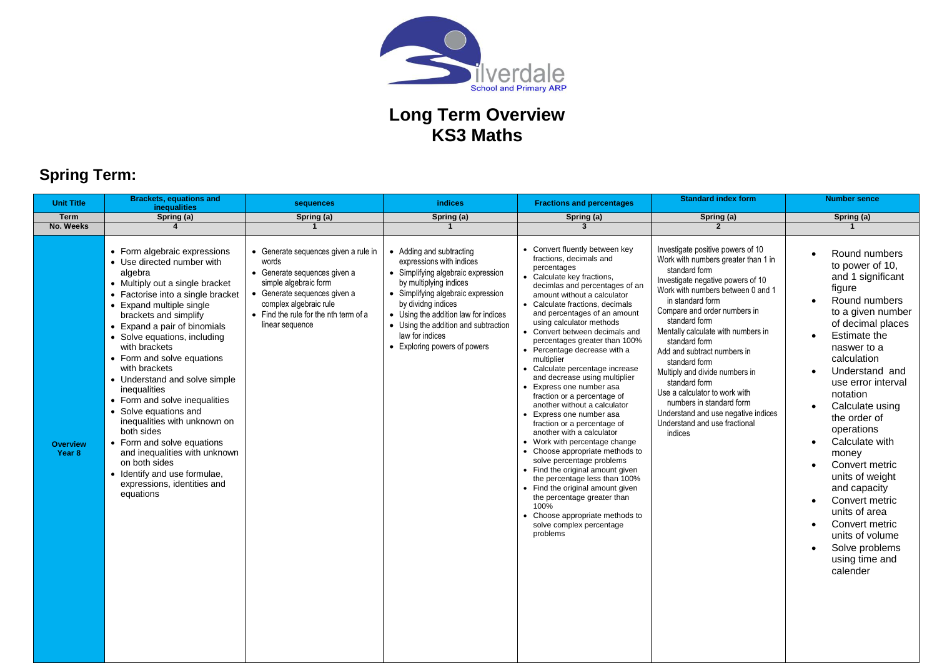

# **Spring Term:**

| <b>Unit Title</b>         | <b>Brackets, equations and</b><br><b>inequalities</b>                                                                                                                                                                                                                                                                                                                                                                                                                                                                                                                                                                                                   | sequences                                                                                                                                                                                                                    | <b>indices</b>                                                                                                                                                                                                                                                                                                      | <b>Fractions and percentages</b>                                                                                                                                                                                                                                                                                                                                                                                                                                                                                                                                                                                                                                                                                                                                                                                                                                                                                                                                           | <b>Standard index form</b>                                                                                                                                                                                                                                                                                                                                                                                                                                                                                                                         | <b>Number sence</b>                                                                                                                                                                                                                                                                                                                                                                                                                                                                   |
|---------------------------|---------------------------------------------------------------------------------------------------------------------------------------------------------------------------------------------------------------------------------------------------------------------------------------------------------------------------------------------------------------------------------------------------------------------------------------------------------------------------------------------------------------------------------------------------------------------------------------------------------------------------------------------------------|------------------------------------------------------------------------------------------------------------------------------------------------------------------------------------------------------------------------------|---------------------------------------------------------------------------------------------------------------------------------------------------------------------------------------------------------------------------------------------------------------------------------------------------------------------|----------------------------------------------------------------------------------------------------------------------------------------------------------------------------------------------------------------------------------------------------------------------------------------------------------------------------------------------------------------------------------------------------------------------------------------------------------------------------------------------------------------------------------------------------------------------------------------------------------------------------------------------------------------------------------------------------------------------------------------------------------------------------------------------------------------------------------------------------------------------------------------------------------------------------------------------------------------------------|----------------------------------------------------------------------------------------------------------------------------------------------------------------------------------------------------------------------------------------------------------------------------------------------------------------------------------------------------------------------------------------------------------------------------------------------------------------------------------------------------------------------------------------------------|---------------------------------------------------------------------------------------------------------------------------------------------------------------------------------------------------------------------------------------------------------------------------------------------------------------------------------------------------------------------------------------------------------------------------------------------------------------------------------------|
| Term                      | Spring (a)                                                                                                                                                                                                                                                                                                                                                                                                                                                                                                                                                                                                                                              | Spring (a)                                                                                                                                                                                                                   | Spring (a)                                                                                                                                                                                                                                                                                                          | Spring (a)                                                                                                                                                                                                                                                                                                                                                                                                                                                                                                                                                                                                                                                                                                                                                                                                                                                                                                                                                                 | Spring (a)                                                                                                                                                                                                                                                                                                                                                                                                                                                                                                                                         | Spring (a)                                                                                                                                                                                                                                                                                                                                                                                                                                                                            |
| No. Weeks                 | $\overline{\mathbf{4}}$                                                                                                                                                                                                                                                                                                                                                                                                                                                                                                                                                                                                                                 | $\mathbf{1}$                                                                                                                                                                                                                 | $\mathbf{1}$                                                                                                                                                                                                                                                                                                        | 3                                                                                                                                                                                                                                                                                                                                                                                                                                                                                                                                                                                                                                                                                                                                                                                                                                                                                                                                                                          | $\overline{2}$                                                                                                                                                                                                                                                                                                                                                                                                                                                                                                                                     | $\mathbf{1}$                                                                                                                                                                                                                                                                                                                                                                                                                                                                          |
| <b>Overview</b><br>Year 8 | • Form algebraic expressions<br>• Use directed number with<br>algebra<br>• Multiply out a single bracket<br>• Factorise into a single bracket<br>• Expand multiple single<br>brackets and simplify<br>• Expand a pair of binomials<br>• Solve equations, including<br>with brackets<br>• Form and solve equations<br>with brackets<br>• Understand and solve simple<br>inequalities<br>• Form and solve inequalities<br>• Solve equations and<br>inequalities with unknown on<br>both sides<br>• Form and solve equations<br>and inequalities with unknown<br>on both sides<br>• Identify and use formulae,<br>expressions, identities and<br>equations | • Generate sequences given a rule in<br>words<br>• Generate sequences given a<br>simple algebraic form<br>• Generate sequences given a<br>complex algebraic rule<br>• Find the rule for the nth term of a<br>linear sequence | • Adding and subtracting<br>expressions with indices<br>• Simplifying algebraic expression<br>by multiplying indices<br>• Simplifying algebraic expression<br>by dividng indices<br>• Using the addition law for indices<br>• Using the addition and subtraction<br>law for indices<br>• Exploring powers of powers | • Convert fluently between key<br>fractions, decimals and<br>percentages<br>• Calculate key fractions,<br>decimlas and percentages of an<br>amount without a calculator<br>• Calculate fractions, decimals<br>and percentages of an amount<br>using calculator methods<br>• Convert between decimals and<br>percentages greater than 100%<br>• Percentage decrease with a<br>multiplier<br>• Calculate percentage increase<br>and decrease using multiplier<br>• Express one number asa<br>fraction or a percentage of<br>another without a calculator<br>• Express one number asa<br>fraction or a percentage of<br>another with a calculator<br>• Work with percentage change<br>• Choose appropriate methods to<br>solve percentage problems<br>• Find the original amount given<br>the percentage less than 100%<br>• Find the original amount given<br>the percentage greater than<br>100%<br>• Choose appropriate methods to<br>solve complex percentage<br>problems | Investigate positive powers of 10<br>Work with numbers greater than 1 in<br>standard form<br>Investigate negative powers of 10<br>Work with numbers between 0 and 1<br>in standard form<br>Compare and order numbers in<br>standard form<br>Mentally calculate with numbers in<br>standard form<br>Add and subtract numbers in<br>standard form<br>Multiply and divide numbers in<br>standard form<br>Use a calculator to work with<br>numbers in standard form<br>Understand and use negative indices<br>Understand and use fractional<br>indices | Round numbers<br>to power of 10,<br>and 1 significant<br>figure<br>Round numbers<br>to a given number<br>of decimal places<br>Estimate the<br>naswer to a<br>calculation<br>Understand and<br>use error interval<br>notation<br>Calculate using<br>the order of<br>operations<br>Calculate with<br>money<br>Convert metric<br>units of weight<br>and capacity<br>Convert metric<br>units of area<br>Convert metric<br>units of volume<br>Solve problems<br>using time and<br>calender |